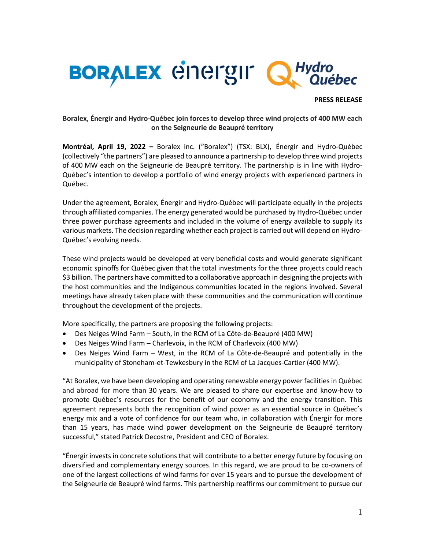

**PRESS RELEASE**

# **Boralex, Énergir and Hydro-Québec join forces to develop three wind projects of 400 MW each on the Seigneurie de Beaupré territory**

**Montréal, April 19, 2022 –** Boralex inc. ("Boralex") (TSX: BLX), Énergir and Hydro-Québec (collectively "the partners") are pleased to announce a partnership to develop three wind projects of 400 MW each on the Seigneurie de Beaupré territory. The partnership is in line with Hydro-Québec's intention to develop a portfolio of wind energy projects with experienced partners in Québec.

Under the agreement, Boralex, Énergir and Hydro-Québec will participate equally in the projects through affiliated companies. The energy generated would be purchased by Hydro-Québec under three power purchase agreements and included in the volume of energy available to supply its various markets. The decision regarding whether each project is carried out will depend on Hydro-Québec's evolving needs.

These wind projects would be developed at very beneficial costs and would generate significant economic spinoffs for Québec given that the total investments for the three projects could reach \$3 billion. The partners have committed to a collaborative approach in designing the projects with the host communities and the Indigenous communities located in the regions involved. Several meetings have already taken place with these communities and the communication will continue throughout the development of the projects.

More specifically, the partners are proposing the following projects:

- Des Neiges Wind Farm South, in the RCM of La Côte-de-Beaupré (400 MW)
- Des Neiges Wind Farm Charlevoix, in the RCM of Charlevoix (400 MW)
- Des Neiges Wind Farm West, in the RCM of La Côte-de-Beaupré and potentially in the municipality of Stoneham-et-Tewkesbury in the RCM of La Jacques-Cartier (400 MW).

"At Boralex, we have been developing and operating renewable energy power facilities in Québec and abroad for more than 30 years. We are pleased to share our expertise and know-how to promote Québec's resources for the benefit of our economy and the energy transition. This agreement represents both the recognition of wind power as an essential source in Québec's energy mix and a vote of confidence for our team who, in collaboration with Énergir for more than 15 years, has made wind power development on the Seigneurie de Beaupré territory successful," stated Patrick Decostre, President and CEO of Boralex.

"Énergir invests in concrete solutions that will contribute to a better energy future by focusing on diversified and complementary energy sources. In this regard, we are proud to be co-owners of one of the largest collections of wind farms for over 15 years and to pursue the development of the Seigneurie de Beaupré wind farms. This partnership reaffirms our commitment to pursue our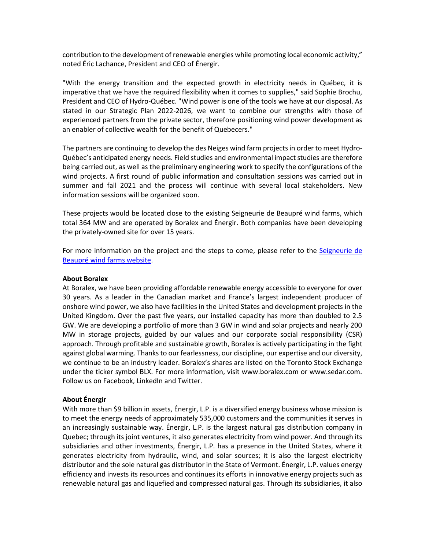contribution to the development of renewable energies while promoting local economic activity," noted Éric Lachance, President and CEO of Énergir.

"With the energy transition and the expected growth in electricity needs in Québec, it is imperative that we have the required flexibility when it comes to supplies," said Sophie Brochu, President and CEO of Hydro-Québec. "Wind power is one of the tools we have at our disposal. As stated in our Strategic Plan 2022-2026, we want to combine our strengths with those of experienced partners from the private sector, therefore positioning wind power development as an enabler of collective wealth for the benefit of Quebecers."

The partners are continuing to develop the des Neiges wind farm projectsin order to meet Hydro-Québec's anticipated energy needs. Field studies and environmental impact studies are therefore being carried out, as well as the preliminary engineering work to specify the configurations of the wind projects. A first round of public information and consultation sessions was carried out in summer and fall 2021 and the process will continue with several local stakeholders. New information sessions will be organized soon.

These projects would be located close to the existing Seigneurie de Beaupré wind farms, which total 364 MW and are operated by Boralex and Énergir. Both companies have been developing the privately-owned site for over 15 years.

For more information on the project and the steps to come, please refer to the Seigneurie de [Beaupré wind farms website.](https://en.parcseoliensseigneuriedebeaupre.com/d%C3%A9veloppement)

#### **About Boralex**

At Boralex, we have been providing affordable renewable energy accessible to everyone for over 30 years. As a leader in the Canadian market and France's largest independent producer of onshore wind power, we also have facilities in the United States and development projects in the United Kingdom. Over the past five years, our installed capacity has more than doubled to 2.5 GW. We are developing a portfolio of more than 3 GW in wind and solar projects and nearly 200 MW in storage projects, guided by our values and our corporate social responsibility (CSR) approach. Through profitable and sustainable growth, Boralex is actively participating in the fight against global warming. Thanks to our fearlessness, our discipline, our expertise and our diversity, we continue to be an industry leader. Boralex's shares are listed on the Toronto Stock Exchange under the ticker symbol BLX. For more information, visit www.boralex.com or www.sedar.com. Follow us on Facebook, LinkedIn and Twitter.

## **About Énergir**

With more than \$9 billion in assets, Énergir, L.P. is a diversified energy business whose mission is to meet the energy needs of approximately 535,000 customers and the communities it serves in an increasingly sustainable way. Énergir, L.P. is the largest natural gas distribution company in Quebec; through its joint ventures, it also generates electricity from wind power. And through its subsidiaries and other investments, Énergir, L.P. has a presence in the United States, where it generates electricity from hydraulic, wind, and solar sources; it is also the largest electricity distributor and the sole natural gas distributor in the State of Vermont. Énergir, L.P. values energy efficiency and invests its resources and continues its efforts in innovative energy projects such as renewable natural gas and liquefied and compressed natural gas. Through its subsidiaries, it also